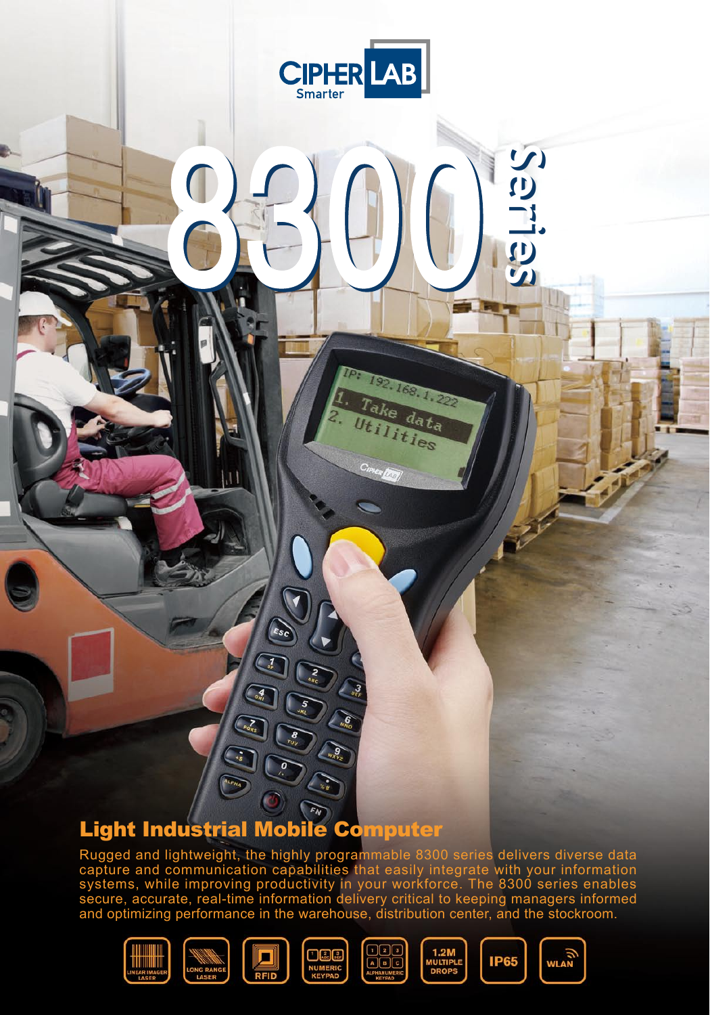

8300 8300

IPI

192.168.1.222

ke data ties

### Light Industrial Mobile Computer

Rugged and lightweight, the highly programmable 8300 series delivers diverse data capture and communication capabilities that easily integrate with your information systems, while improving productivity in your workforce. The 8300 series enables secure, accurate, real-time information delivery critical to keeping managers informed and optimizing performance in the warehouse, distribution center, and the stockroom.













**Series Series**

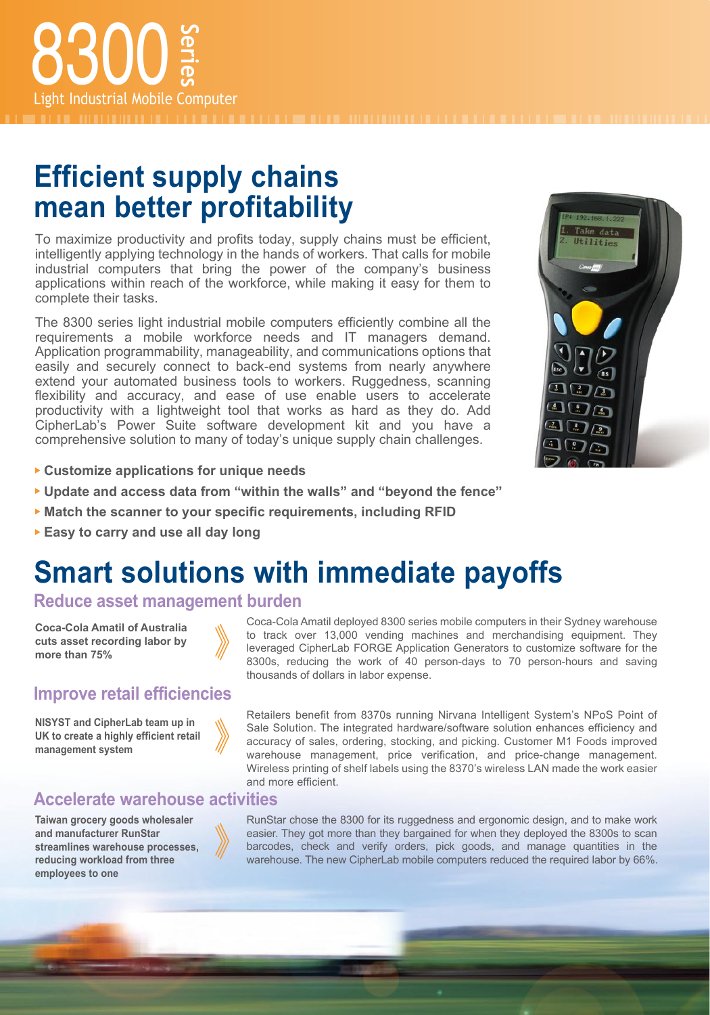## **Efficient supply chains mean better profitability**

To maximize productivity and profits today, supply chains must be efficient, intelligently applying technology in the hands of workers. That calls for mobile industrial computers that bring the power of the company's business applications within reach of the workforce, while making it easy for them to complete their tasks.

The 8300 series light industrial mobile computers efficiently combine all the requirements a mobile workforce needs and IT managers demand. Application programmability, manageability, and communications options that easily and securely connect to back-end systems from nearly anywhere extend your automated business tools to workers. Ruggedness, scanning flexibility and accuracy, and ease of use enable users to accelerate productivity with a lightweight tool that works as hard as they do. Add CipherLab's Power Suite software development kit and you have a comprehensive solution to many of today's unique supply chain challenges.

- **Customize applications for unique needs**
- **Update and access data from "within the walls" and "beyond the fence"**
- **Match the scanner to your specific requirements, including RFID**
- **Easy to carry and use all day long**

## **Smart solutions with immediate payoffs**

#### **Reduce asset management burden**

**Coca-Cola Amatil of Australia cuts asset recording labor by more than 75%**

#### **Improve retail efficiencies**

**NISYST and CipherLab team up in UK to create a highly efficient retail management system**

#### **Accelerate warehouse activities**

**Taiwan grocery goods wholesaler and manufacturer RunStar streamlines warehouse processes, reducing workload from three employees to one**

Coca-Cola Amatil deployed 8300 series mobile computers in their Sydney warehouse to track over 13,000 vending machines and merchandising equipment. They leveraged CipherLab FORGE Application Generators to customize software for the 8300s, reducing the work of 40 person-days to 70 person-hours and saving thousands of dollars in labor expense.

Retailers benefit from 8370s running Nirvana Intelligent System's NPoS Point of Sale Solution. The integrated hardware/software solution enhances efficiency and accuracy of sales, ordering, stocking, and picking. Customer M1 Foods improved warehouse management, price verification, and price-change management. Wireless printing of shelf labels using the 8370's wireless LAN made the work easier and more efficient.

RunStar chose the 8300 for its ruggedness and ergonomic design, and to make work easier. They got more than they bargained for when they deployed the 8300s to scan barcodes, check and verify orders, pick goods, and manage quantities in the warehouse. The new CipherLab mobile computers reduced the required labor by 66%.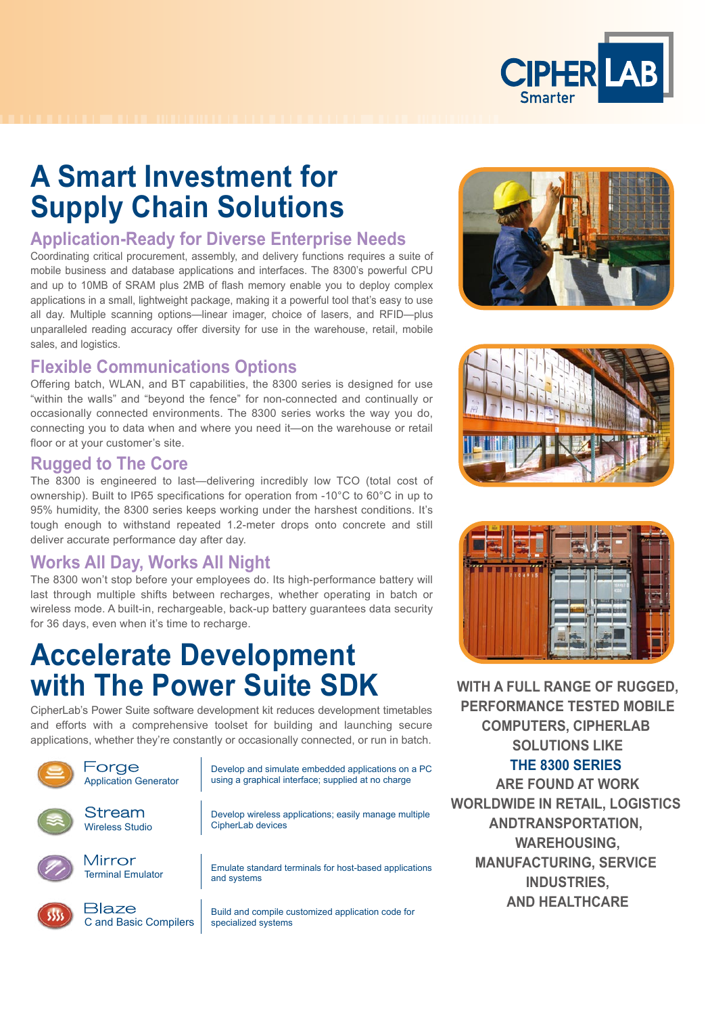

## **A Smart Investment for Supply Chain Solutions**

#### **Application-Ready for Diverse Enterprise Needs**

Coordinating critical procurement, assembly, and delivery functions requires a suite of mobile business and database applications and interfaces. The 8300's powerful CPU and up to 10MB of SRAM plus 2MB of flash memory enable you to deploy complex applications in a small, lightweight package, making it a powerful tool that's easy to use all day. Multiple scanning options—linear imager, choice of lasers, and RFID—plus unparalleled reading accuracy offer diversity for use in the warehouse, retail, mobile sales, and logistics.

#### **Flexible Communications Options**

Offering batch, WLAN, and BT capabilities, the 8300 series is designed for use "within the walls" and "beyond the fence" for non-connected and continually or occasionally connected environments. The 8300 series works the way you do, connecting you to data when and where you need it—on the warehouse or retail floor or at your customer's site.

#### **Rugged to The Core**

The 8300 is engineered to last—delivering incredibly low TCO (total cost of ownership). Built to IP65 specifications for operation from -10°C to 60°C in up to 95% humidity, the 8300 series keeps working under the harshest conditions. It's tough enough to withstand repeated 1.2-meter drops onto concrete and still deliver accurate performance day after day.

#### **Works All Day, Works All Night**

The 8300 won't stop before your employees do. Its high-performance battery will last through multiple shifts between recharges, whether operating in batch or wireless mode. A built-in, rechargeable, back-up battery guarantees data security for 36 days, even when it's time to recharge.

## **Accelerate Development with The Power Suite SDK**

CipherLab's Power Suite software development kit reduces development timetables and efforts with a comprehensive toolset for building and launching secure applications, whether they're constantly or occasionally connected, or run in batch.









**WITH A FULL RANGE OF RUGGED, PERFORMANCE TESTED MOBILE COMPUTERS, CIPHERLAB SOLUTIONS LIKE THE 8300 SERIES ARE FOUND AT WORK WORLDWIDE IN RETAIL, LOGISTICS ANDTRANSPORTATION, WAREHOUSING, MANUFACTURING, SERVICE INDUSTRIES, AND HEALTHCARE**